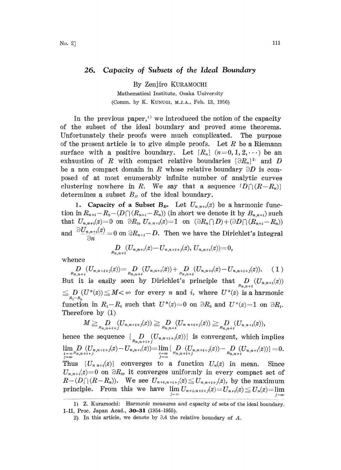By Zenjiro KURAMOCHI

Mathematical Institute, Osaka University (Comm. by K. KUNUGI, M.J.A., Feb. 13, 1956)

In the previous paper,<sup> $\Omega$ </sup> we introduced the notion of the capacity of the subset of the ideal boundary and proved some theorems. Unfortunately their proofs were much complicated. The purpose of the present article is to give simple proofs. Let R be a Riemann surface with a positive boundary. Let  $\{R_n\}$   $(n=0, 1, 2, \dots)$  be an exhaustion of R with compact relative boundaries  $\{\partial R_n\}^2$  and D be a non compact domain in R whose relative boundary  $\partial D$  is composed of at most enumerably infinite number of analytic curves clustering nowhere in R. We say that a sequence  $\{D \cap (R-R_n)\}$ determines a subset  $B_p$  of the ideal boundary.

1. Capacity of a Subset  $B_{\boldsymbol{D}}$ . Let  $U_{n,n+i}(z)$  be a harmonic function in  $R_{n+i}-R_0-(D\cap (R_{n+i}-R_n))$  (in short we denote it by  $B_{n,n+i}$ ) such that  $U_{n,n+i}(z)=0$  on  $\partial R_0$ ,  $U_{n,n+i}(z)=1$  on  $(\partial R_n\cap D)+(\partial D\cap (R_{n+i}-R_n))$ and  $\frac{\partial U_{n,n+i}(z)}{\partial n} = 0$  on  $\partial R_{n+i} - D$ . Then we have the Dirichlet's integral

$$
\underset{B_{n,n+i}}{D}(U_{n,n+i}(z)-U_{n,n+i+j}(z), U_{n,n+i}(z))=0,
$$

whence

 $D_{B_{n,n+i}}(U_{n,n+i+j}(z)) = D_{B_{n,n+i}}(U_{n,n+i}(z)) + D_{B_{n,n+i}}(U_{n,n+i}(z)-U_{n,n+i+j}(z)).$ But it is easily seen by Dirichlet's principle that  $D_{n,n+i}(U_{n,n+i}(z))$  $D_{R_1-R_0}(U^*(z)) \leq M < \infty$  for every *n* and *i*, where  $U^*(z)$  is a harmonic function in  $R_1-R_0$  such that  $U^*(z)=0$  on  $\partial R_0$  and  $U^*(z)=1$  on  $\partial R_1$ . Therefore by (1)

$$
M \geq D_{n,n+i+j}(U_{n,n+i+j}(z)) \geq D_{n,n+i}(U_{n,n+i+j}(z)) \geq D_{n,n+i}(U_{n,n+i}(z)),
$$

hence the sequence  $\{ D \mid (U_{n,n+i+j}(z)) \}$  is convergent, which implies  $\lim\nolimits_n D\,\left( U_{n,n+i+j}(z)\!-\!U_{n,n+i}(z)\right)\!=\!\lim\{\lvert D\,\,\left( U_{n,n+i+j}(z)\right)\!-\!\lvert D\,\,\left( U_{n,n+i}(z)\right)\rangle\!=\!0.$ Thus  $\{U_{n,n+i}(z)\}\$  converges to a function  $U_n(z)$  in mean. Since  $U_{n,n+i}(z)=0$  on  $\partial R_0$ , it converges uniformly in every compact set of  $R-(D\bigcap (R-R_n)).$  We see  $U_{n+i,n+i+j}(z) \leq U_{n,n+i+j}(z)$ , by the maximum principle. From this we have

<sup>1)</sup> Z. Kuramochi: Harmonic measures and capacity of sets of the ideal boundary. I-II, Proc. Japan Acad., 30-31 (1954-1955).

<sup>2)</sup> In this article, we denote by  $\partial A$  the relative boundary of A.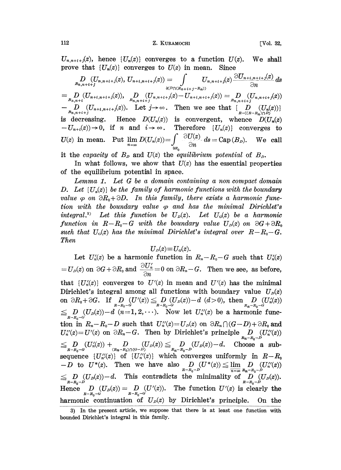$U_{n,n+i+j}(z)$ , hence  $\{U_n(z)\}$  converges to a function  $U(z)$ . We shall prove that  $\{U_n(z)\}$  converges to  $U(z)$  in mean. Since

$$
D_{B_{n,n+i+j}}(U_{n,n+i+j}(z), U_{n+i,n+i+j}(z)) = \int_{\partial(D_{1}(X_{n+i+j}-R_n))} U_{n,n+i+j}(z) \frac{\partial U_{n+i,n+i+j}(z)}{\partial n} ds
$$
  
\n
$$
= D_{B_{n,n+i}}(U_{n+i,n+i+j}(z)), D_{B_{n,n+i+j}}(U_{n,n+i+j}(z) - U_{n+i,n+i+j}(z)) = D_{B_{n,n+i+j}}(U_{n,n+i+j}(z))
$$
  
\n
$$
- D_{B_{n,n+i+j}}(U_{n+i,n+i+j}(z)).
$$
 Let  $j \to \infty$ . Then we see that {  $D_{R-(R-R_n)\cap D_{j}}(U_{n}(z))$   
\nis decreasing. Hence  $D(U_{n}(z))$  is convergent, whence  $D(U_{n}(z))$   
\n $-U_{n+i}(z)) \to 0$ , if n and  $i \to \infty$ . Therefore  $\{U_{n}(z)\}$  converges to  
\n $U(z)$  in mean. Put  $\lim_{n \to \infty} D(U_{n}(z)) = \int_{\partial R_{0}} \frac{\partial U(z)}{\partial n} ds = \text{Cap}(B_{D})$ . We call

it the capacity of  $B<sub>D</sub>$  and  $U(z)$  the equilibrium potential of  $B<sub>D</sub>$ .

In what follows, we show that  $U(z)$  has the essential properties of the equilibrium potential in space.

Lemma 1. Let  $G$  be a domain containing a non compact domain D. Let  $\{U_a(z)\}\$  be the family of harmonic functions with the boundary value  $\varphi$  on  $\partial R_0 + \partial D$ . In this family, there exists a harmonic function with the boundary value  $\varphi$  and has the minimal Dirichlet's integral.<sup>3</sup> Let this function be  $U_{\nu}(z)$ . Let  $U_{\nu}(z)$  be a harmonic function in  $R-R_0-G$  with the boundary value  $U_D(z)$  on  $\partial G+\partial R_0$ such that  $U_{\alpha}(z)$  has the minimal Dirichlet's integral over  $R-R_{0}-G$ . Then

## $U_{\scriptscriptstyle D}(z) \equiv U_{\scriptscriptstyle G}(z)$ .

Let  $U_n'(z)$  be a harmonic function in  $R_n-R_0-G$  such that  $U_n'(z)$ Let  $U'_n(z)$  be a harmonic function in  $R_n-R_0-G$  such that  $U'_n(z)$ <br>=  $U_p(z)$  on  $\partial G + \partial R_0$  and  $\frac{\partial U'_n}{\partial n} = 0$  on  $\partial R_n-G$ . Then we see, as before, that  $\{U_n'(z)\}\$  converges to  $U'(z)$  in mean and  $U'(z)$  has the minimal Dirichlet's integral among all functions with boundary value  $U_p(z)$ on Ro+a. D (U'(z)) D (U,(z))-d (d>O), then D (U(z)) R-RO--G R-RO--G R,--RO--G D (U.(z)) <sup>d</sup> (n-1,2,...). Now let U( be <sup>a</sup> harmonic fune-R--Ro-G tion in  $R_n - R_0 - D$  such that  $U_n''(z) = U_n(z)$  on  $\partial R_n \cap (G - D) + \partial R_0$  and  $U''_n(z) = U'(z)$  on  $\partial R_n - G$ . Then by Dirichlet's principle  $D_{R_n-R_0-D}(U''_n(z))$  $\sum_{R-R_0-G} (U_n'(z)) + \sum_{(R_n-R_0)\cap (G-D)} (U_D(z)) \leq \sum_{R_n-R_0-D} (U_D(z)) - d.$  Choose a subsequence  $\{U''_n(z)\}$  of  $\{U''_n(z)\}$  which converges uniformly in  $R-R_0$ *D* to  $U^*(z)$ . Then we have also  $D \n\sum_{R-R_0-D} (U^*(z)) \leq \lim_{R \to \infty} D \n\sum_{R-R_0-D} (U'_n(z)) - d$ . This contradicts the minimality of  $D \n\sum_{R-R_0-D} (U_D(z))$ .<br>Hence  $D \n\sum_{R-R_0-G} (U'_n(z)) = D \n\sum_{R-R_0-G} (U'(z))$ . The function  $U'(z)$  is clearly harmonic continuation of  $U_p(z)$  by Dirichlet's principle. On the

<sup>3)</sup> In the present article, we suppose that there is at least one function with bounded Dirichlet's integral in this family.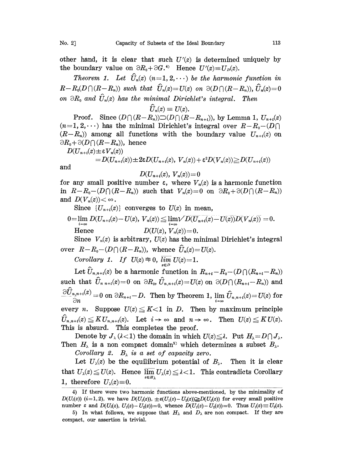Theorem 1. Let  $\hat{U}_n(z)$   $(n=1, 2, \dots)$  be the harmonic function in  $R-R_0(D \cap (R-R_n))$  such that  $\hat{U}_n(z)=U(z)$  on  $\partial(D \cap (R-R_n)), \hat{U}_n(z)=0$ on  $\partial R_0$  and  $\hat{U}_n(z)$  has the minimal Dirichlet's integral. Then

$$
U_n(z)\equiv U(z).
$$

Proof. Since  $(D \cap (R-R_n)) \supset (D \cap (R-R_{n+i}))$ , by Lemma 1,  $U_{n+i}(z)$  $(n=1,2,\dots)$  has the minimal Dirichlet's integral over  $R-R_0-(D\cap)$  $(R-R_n)$  among all functions with the boundary value  $U_{n+i}(z)$  on  $\partial R_0 + \partial (D \cap (R - R_n))$ , hence

$$
D(U_{n+i}(z) \pm \varepsilon V_n(z))
$$
  
=  $D(U_{n+i}(z)) \pm 2\varepsilon D(U_{n+i}(z), V_n(z)) + \varepsilon^2 D(V_n(z)) \ge D(U_{n+i}(z))$   
and

and

$$
D(U_{n+i}(z),\ V_n(z))\!=\!0
$$

for any small positive number  $\varepsilon$ , where  $V_n(z)$  is a harmonic function in  $R-R_0-(D \cap (R-R_n))$  such that  $V_n(z)=0$  on  $\partial R_0+\partial (D \cap (R-R_n))$ and  $D(V_n(z)) < \infty$ .

Since  $\{U_{n+i}(z)\}\)$  converges to  $U(z)$  in mean,

$$
\begin{array}{ll} 0\!=\!\lim_{i\!\rightarrow\!\infty}D(U_{n+i}(z)\!-\!U(z),\,V_n(z))\!\leq\!\lim_{i\!\rightarrow\!\infty}\!\!\sqrt{D(U_{n+i}(z)\!-\!U(z))D(V_n(z))}=0. \\ \textup{Hence} & D(U(z),\,V_n(z))\!=\!0. \end{array}
$$

Since  $V_n(z)$  is arbitrary,  $U(z)$  has the minimal Dirichlet's integral over  $R-R_0-(D\bigcap (R-R_n))$ , whence  $\hat{U}_n(z)=U(z)$ .

Corollary 1. If  $U(z) \equiv 0$ ,  $\lim_{z \in D}$ 

 $\begin{aligned} \Rightarrow 0, \; &\mathop{\lim}\limits_{_{_{_{_{_{}}}}}} \mathop{\cup}\limits_{_{_{}}}} \mathop{\cup}\limits_{_{_{}}}} \mathop{\cup}\limits_{_{}}\mathrm{I.}, \ &\mathop{\mathrm{I.}}\limits_{_{_{}}}}\mathop{\mathrm{I.}}\limits_{_{_{}}}} \mathop{\mathrm{I.}}\limits_{_{_{}}}}\mathop{\mathrm{I.}}\limits_{_{_{}}}}\mathop{\mathrm{I.}}\limits_{_{_{}}}}\mathop{\mathrm{I.}}\limits_{_{_{}}}}\mathop{\mathrm{I.}}\limits_{_{_{}}}}\mathop{\mathrm{I.}}\limits_{_{_{}}}}\mathop{\mathrm{I.}}\limits_{_{_{}}}}\mathop{\mathrm$ Let  $U_{n,n+i}(z)$  be a harmonic function in  $R_{n+i} - R_{0} - (D \cap (R_{n+i} - R_{n}))$ such that  $\hat{U}_{n,n+i}(z)=0$  on  $\partial R_0$ ,  $\hat{U}_{n,n+i}(z)=U(z)$  on  $\partial(D\cap (R_{n+i}-R_n))$  and  $\frac{\partial \widehat{U}_{n,n+i}(z)}{\partial n}=0$  on  $\partial R_{n+i}-D$ . Then by Theorem 1,  $\lim_{i\to\infty}\widehat{U}_{n,n+i}(z)=U(z)$  for every *n*. Suppose  $U(z) \le K < 1$  in *D*. Then by maximum principle  $\hat{U}_{n,n+i}(z) \leq K U_{n,n+i}(z)$ . Let  $i \to \infty$  and  $n \to \infty$ . Then  $U(z) \leq K U(z)$ . This is absurd. This completes the proof.

Denote by  $J_{\lambda}(\lambda < 1)$  the domain in which  $U(z) \leq \lambda$ . Put  $H_{\lambda} = D \cap J_{\lambda}$ . Then  $H_{\lambda}$  is a non compact domain<sup>5</sup> which determines a subset  $B_{\lambda}$ .

Corollary 2.  $B_{\lambda}$  is a set of capacity zero.

Let  $U_{\lambda}(z)$  be the equilibrium potential of  $B_{\lambda}$ . Then it is clear that  $U_{\lambda}(z) \leq U(z)$ . Hence  $\overline{\lim}_{z \in H_{\lambda}} U_{\lambda}(z) \leq \lambda < 1$ . This contradicts Corollary 1, therefore  $U_{\lambda}(z) \equiv 0$ .

<sup>4)</sup> If there were two harmonic functions above-mentioned, by the minimality of  $D(U_i(z))$  (i=1,2), we have  $D(U_i(z))$ ,  $\pm \varepsilon(U_1(z)-U_2(z))\geq D(U_i(z))$  for every small positive number  $\varepsilon$  and  $D(U_i(z), U_1(z) - U_2(z)) = 0$ , whence  $D(U_1(z) - U_2(z)) = 0$ . Thus  $U_1(z) \equiv U_2(z)$ .

<sup>5)</sup> In what follows, we suppose that  $H_{\lambda}$  and  $D_{\lambda}$  are non compact. If they are compact, our assertion is trivial.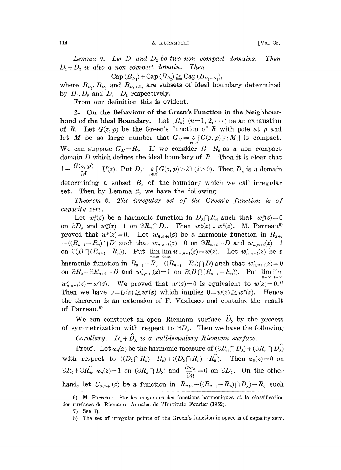114 **Z. KURAMOCHI** [Vol. 32,

Lemma 2. Let  $D_1$  and  $D_2$  be two non compact domains. Then  $D_3$  is also a non compact domain. Then  $D_1+D_2$  is also a non compact domain.

 $Cap(B_{D_1})+Cap(B_{D_2})\geq Cap(B_{D_1+D_2}),$ 

where  $B_{D_1}, B_{D_2}$  and  $B_{D_1 + D_2}$  are subsets of ideal boundary determined by  $D_1$ ,  $D_2$  and  $D_1 + D_2$  respectively.

From our definition this is evident.

2. On the Behaviour of the Green's Function in the Neighbourhood of the Ideal Boundary. Let  $\{R_n\}$   $(n=1, 2, \cdots)$  be an exhaustion of R. Let  $G(z, p)$  be the Green's function of R with pole at p and let M be so large number that  $G_M = \varepsilon \left[ G(z, p) \ge M \right]$  is compact. We can suppose  $G_{\mu}=R_0$ . If we consider  $R-R_0$  as a non compact domain  $D$  which defines the ideal boundary of  $R$ . Then it is clear that  $1 - \frac{G(z, p)}{M} = U(z)$ . Put  $D_{\lambda} = \underset{z \in R}{\varepsilon} [G(z, p) > \lambda]$  ( $\lambda > 0$ ). Then  $D_{\lambda}$  is a domain determining a subset  $B_{\lambda}$  of the boundary which we call irregular set. Then by Lemma 2, we have the following

Theorem 2. The irregular set of the Green's function is of capacity zero.

Let  $w_n^{\nu}(z)$  be a harmonic function in  $D_{\lambda} \cap R_n$  such that  $w_n^{\nu}(z)=0$ on  $\partial D_\lambda$  and  $w_n^p(z)=1$  on  $\partial R_n \cap D_\lambda$ . Then  $w_n^p(z) \downarrow w^p(z)$ . M. Parreau<sup>6)</sup> proved that  $w^p(z)=0$ . Let  $w_{n,n+i}(z)$  be a harmonic function in  $R_{n+i}$  $-(R_{n+i}-R_n)\cap D)$  such that  $w_{n,n+i}(z)=0$  on  $\partial R_{n+i}-D$  and  $w_{n,n+i}(z)=1$ on  $\partial(D \cap (R_{n+i}-R_n))$ . Put  $\lim_{n=\infty} \lim_{i=\infty} w_{n,n+i}(z)=w(z)$ . Let  $w'_{n,n+i}(z)$  be a harmonic function in  $R_{n+i} - R_0 - ((R_{n+i} - R_n) \cap D)$  such that  $w'_{n,n+i}(z) = 0$ on  $\partial R_0 + \partial R_{n+i} - D$  and  $w'_{n,n+i}(z) = 1$  on  $\partial(D \cap (R_{n+i}-R_n))$ . Put lim lim  $w'_{n+1}(z) = w'(z)$ . We proved that  $w'(z) = 0$  is equivalent to  $w(z) = 0$ . Then we have  $0=U(z)\geq w'(z)$  which implies  $0=w(z)\geq w'(z)$ . Hence the theorem is an extension of F. Vasilesco and contains the result of Parreau.<sup>8)</sup>

We can construct an open Riemann surface  $\hat{D}_{\lambda}$  by the process of symmetrization with respect to  $\partial D_{\lambda}$ . Then we have the following

Corollary.  $D_{\lambda} + \hat{D}_{\lambda}$  is a null-boundary Riemann surface.

**Proof.** Let  $\omega_n(z)$  be the harmonic measure of  $(\partial R_n \cap D_\lambda) + (\partial R_n \cap D_\lambda)$ with respect to  $((D_{\lambda}\cap R_n)-R_0)+((D_{\lambda}\cap R_n)-R_0)$ . Then  $\omega_n(z)=0$  on  $\partial R_0 + \partial R_0, \ \omega_n(z) = 1 \ \ \text{on} \ \ (\partial R_n \cap D_\lambda) \ \ \text{and} \ \ \frac{\partial \omega_n}{\partial n} = 0 \ \ \text{on} \ \ \partial D_\lambda.$  On the other hand, let  $U_{n,n+i}(z)$  be a function in  $R_{n+i} - ((R_{n+i} - R_n) \cap D_\lambda) - R_0$  such

<sup>6)</sup> M. Parreau: Sur les moyennes des fonctions harmoniques et la classification des surfaces de Riemann, Annales de l'Institute Fourier (1952).

<sup>7)</sup> See 1).

<sup>8)</sup> The set of irregular points of the Green's function in space is of capacity zero.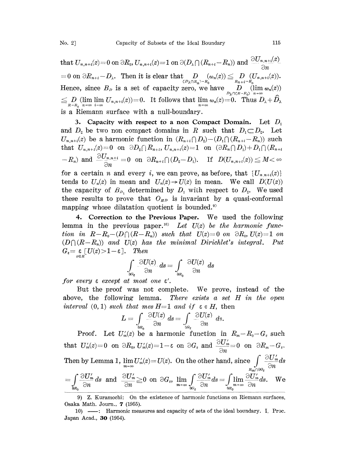that  $U_{n,n+i}(z)=0$  on  $\partial R_0$ ,  $U_{n,n+i}(z)=1$  on  $\partial(D_{\lambda}\cap(R_{n+i}-R_n))$  and  $\frac{\partial U_{n,n+i}(z)}{\partial P_0(z)}$  $=0 \text{ on }\partial R_{n+i}-D_\lambda.$  Then it is clear that  $D\atop{ (D_\lambda\cap R_n)=R_0\atop \Omega}}(\omega_n(z))\leqq D\atop{R_{n+i}-R_n\atop \Omega}}(U_{n,n+i}(z)).$ Hence, since  $B_D$  is a set of capacity zero, we have  $\lim_{B_n \to B_0} \lim_{n \to \infty} \omega_n(z)$  $\leq D_{R-R_0}\lim_{n\to\infty}\lim_{i\to\infty}U_{n,n+i}(z)=0.$  It follows that  $\lim_{n\to\infty}\omega_n(z)=0.$  Thus  $D_{\lambda}+\widehat{D}_{\lambda}$ is a Riemann surface with a null-boundary.

3. Capacity with respect to a non Compact Domain. Let  $D_1$ and  $D_2$  be two non compact domains in R such that  $D_1 \subset D_2$ . Let  $U_{n,n+i}(z)$  be a harmonic function in  $(R_{n+i} \cap D_2) - (D_1 \cap (R_{n+i}-R_n))$  such that  $U_{n,n+i}(z)=0$  on  $\partial D_2 \cap R_{n+i}, U_{n,n+i}(z)=1$  on  $(\partial R_n \cap D_1)+D_1 \cap (R_{n+i})$  $-R_n$ ) and  $\frac{\partial U_{n,n+i}}{\partial x} = 0$  on  $\partial R_{n+i} \bigcap (D_2 - D_1)$ . If  $D(U_{n,n+i}(z)) \leq M$ rn,n<br>Ən

for a certain *n* and every *i*, we can prove, as before, that  $\{U_{n,n+i}(z)\}$ tends to  $U_n(z)$  in mean and  $U_n(z) \rightarrow U(z)$  in mean. We call  $D(U(z))$ the capacity of  $B_{D_1}$  determined by  $D_1$  with respect to  $D_2$ . We used these results to prove that  $O_{HD}$  is invariant by a quasi-conformal mapping whose dilatation quotient is bounded.<sup>9)</sup>

4. Correction to the Previous Paper. We used the following lemma in the previous paper.<sup>10)</sup> Let  $U(z)$  be the harmonic function in  $R-R_0 - (D \cap (R-R_n))$  such that  $U(z)=0$  on  $\partial R_0$ ,  $U(z)=1$  on  $(D \cap (R-R_n))$  and  $U(z)$  has the minimal Dirichlet's integral. Put  $G_{\varepsilon} = \underset{z \in R}{\varepsilon} [U(z) > 1 - \varepsilon].$  Then

$$
\int\limits_{\partial G_{\mathbf{g}}} \frac{\partial U(z)}{\partial n} \, ds = \int\limits_{\partial B_{0}} \frac{\partial U(z)}{\partial n} \, ds
$$

for every  $\varepsilon$  except at most one  $\varepsilon'$ .

But he proof was not complete. We prove, instead of the above, the following lemma. There exists a set  $H$  in the open interval  $(0, 1)$  such that mes H=1 and if  $\varepsilon \in H$ , then

$$
L=\int\limits_{\partial R_{\alpha}}\frac{\partial U(z)}{\partial n}\,ds=\int\limits_{\partial G_{\varepsilon}}\frac{\partial U(z)}{\partial n}\,ds.
$$

Proof. Let  $U'_m(z)$  be a harmonic function in  $R_m-R_0-G_\varepsilon$  such that  $U'_m(z)=0$  on  $\partial R_0$ ,  $U'_m(z)=1-\varepsilon$  on  $\partial G_{\varepsilon}$  and  $\frac{\partial U'_m}{\partial n}=0$  on  $\partial R_m-G_{\varepsilon}$ . Then by Lemma 1,  $\lim_{m \to \infty} U'_m(z) = U(z)$ . On the other hand, since  $\int\limits_{z \to \infty} \frac{\partial U'_m}{\partial n} ds$  $\text{Un} \ \text{on} \ \text{by Lemma 1,} \ \lim_{m \to \infty} U'_m(z) = U(z). \ \text{On the other hand, since} \ \int\limits_{R_m \cap \partial G_{\epsilon}} \frac{\partial U'_m}{\partial n} ds \ = \int\limits_{R_m \cap \partial G_{\epsilon}} \frac{\partial U'_m}{\partial n} ds \quad \text{and} \ \frac{\partial U'_m}{\partial n} \geq 0 \ \text{on} \ \partial G_{\epsilon}, \ \lim_{m \to \infty} \int\limits_{\partial G_{\epsilon}} \frac{\partial U'_m}{\partial n} ds = \int\limits_{\partial R_0} \lim_{n \to \infty} \frac{\partial U'_m}{\partial$ 

<sup>9)</sup> Z. Kuramochi: On the existence of harmonic functions on Riemann surfaces, Osaka Math. Journ., 7 (1955).

<sup>10) ---:</sup> Harmonic measures and capacity of sets of the ideal boundary. I, Proc. Japan Acad., 30 (1954).